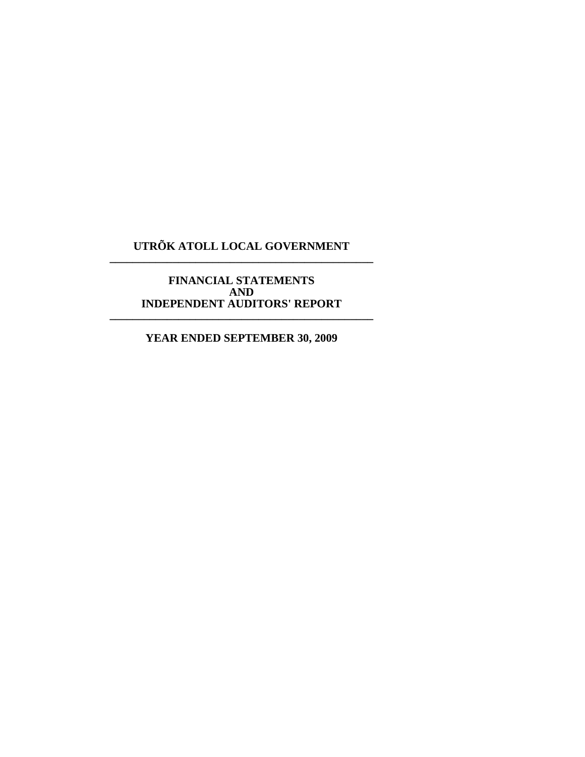# **UTRÕK ATOLL LOCAL GOVERNMENT \_\_\_\_\_\_\_\_\_\_\_\_\_\_\_\_\_\_\_\_\_\_\_\_\_\_\_\_\_\_\_\_\_\_\_\_\_\_\_\_\_\_\_\_\_\_**

#### **FINANCIAL STATEMENTS AND INDEPENDENT AUDITORS' REPORT \_\_\_\_\_\_\_\_\_\_\_\_\_\_\_\_\_\_\_\_\_\_\_\_\_\_\_\_\_\_\_\_\_\_\_\_\_\_\_\_\_\_\_\_\_\_**

**YEAR ENDED SEPTEMBER 30, 2009**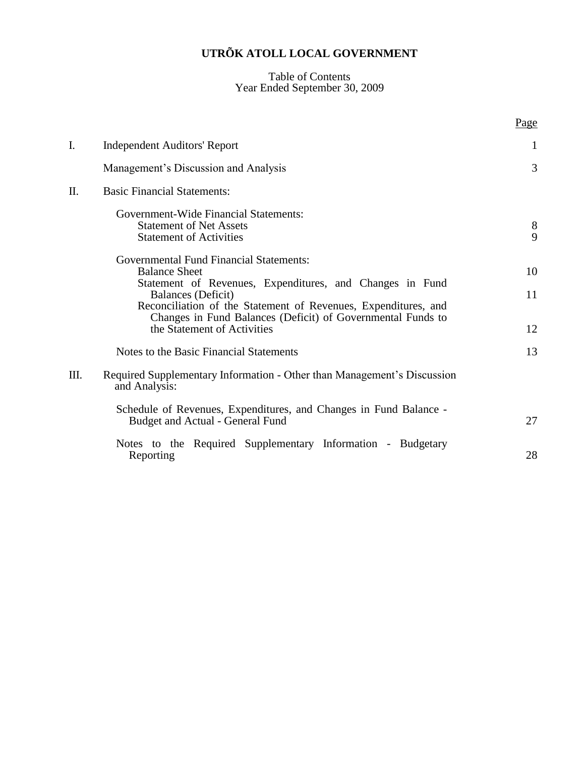#### Table of Contents Year Ended September 30, 2009

|    |                                                                                                                                                     | Page   |
|----|-----------------------------------------------------------------------------------------------------------------------------------------------------|--------|
| I. | <b>Independent Auditors' Report</b>                                                                                                                 | 1      |
|    | Management's Discussion and Analysis                                                                                                                | 3      |
| Π. | <b>Basic Financial Statements:</b>                                                                                                                  |        |
|    | <b>Government-Wide Financial Statements:</b><br><b>Statement of Net Assets</b><br><b>Statement of Activities</b>                                    | 8<br>9 |
|    | <b>Governmental Fund Financial Statements:</b><br><b>Balance Sheet</b><br>Statement of Revenues, Expenditures, and Changes in Fund                  | 10     |
|    | Balances (Deficit)<br>Reconciliation of the Statement of Revenues, Expenditures, and<br>Changes in Fund Balances (Deficit) of Governmental Funds to | 11     |
|    | the Statement of Activities                                                                                                                         | 12     |
|    | Notes to the Basic Financial Statements                                                                                                             | 13     |
| Ш. | Required Supplementary Information - Other than Management's Discussion<br>and Analysis:                                                            |        |
|    | Schedule of Revenues, Expenditures, and Changes in Fund Balance -<br>Budget and Actual - General Fund                                               | 27     |
|    | Notes to the Required Supplementary Information - Budgetary<br>Reporting                                                                            | 28     |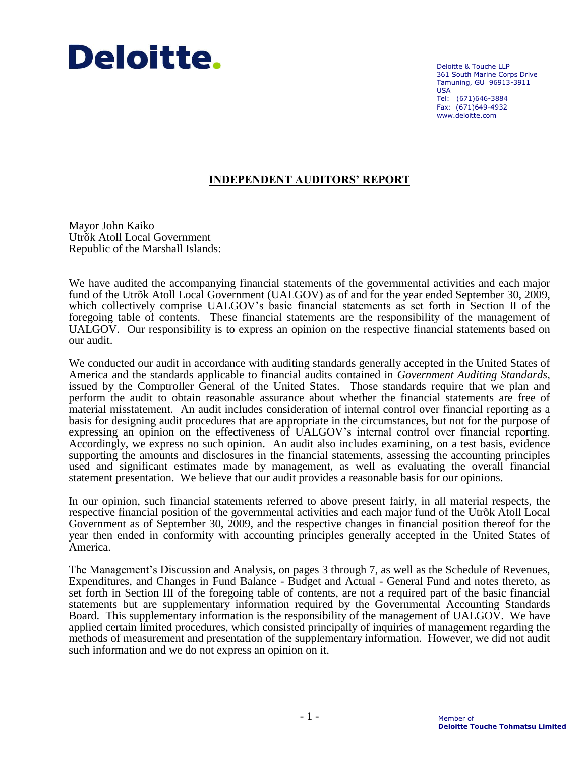

Deloitte & Touche LLP 361 South Marine Corps Drive Tamuning, GU 96913-3911 USA Tel: (671)646-3884 Fax: (671)649-4932 www.deloitte.com

# **INDEPENDENT AUDITORS' REPORT**

Mayor John Kaiko Utrõk Atoll Local Government Republic of the Marshall Islands:

We have audited the accompanying financial statements of the governmental activities and each major fund of the Utrõk Atoll Local Government (UALGOV) as of and for the year ended September 30, 2009, which collectively comprise UALGOV's basic financial statements as set forth in Section II of the foregoing table of contents. These financial statements are the responsibility of the management of UALGOV. Our responsibility is to express an opinion on the respective financial statements based on our audit.

We conducted our audit in accordance with auditing standards generally accepted in the United States of America and the standards applicable to financial audits contained in *Government Auditing Standards*, issued by the Comptroller General of the United States. Those standards require that we plan and perform the audit to obtain reasonable assurance about whether the financial statements are free of material misstatement. An audit includes consideration of internal control over financial reporting as a basis for designing audit procedures that are appropriate in the circumstances, but not for the purpose of expressing an opinion on the effectiveness of UALGOV's internal control over financial reporting. Accordingly, we express no such opinion. An audit also includes examining, on a test basis, evidence supporting the amounts and disclosures in the financial statements, assessing the accounting principles used and significant estimates made by management, as well as evaluating the overall financial statement presentation. We believe that our audit provides a reasonable basis for our opinions.

In our opinion, such financial statements referred to above present fairly, in all material respects, the respective financial position of the governmental activities and each major fund of the Utrõk Atoll Local Government as of September 30, 2009, and the respective changes in financial position thereof for the year then ended in conformity with accounting principles generally accepted in the United States of America.

The Management's Discussion and Analysis, on pages 3 through 7, as well as the Schedule of Revenues, Expenditures, and Changes in Fund Balance - Budget and Actual - General Fund and notes thereto, as set forth in Section III of the foregoing table of contents, are not a required part of the basic financial statements but are supplementary information required by the Governmental Accounting Standards Board. This supplementary information is the responsibility of the management of UALGOV. We have applied certain limited procedures, which consisted principally of inquiries of management regarding the methods of measurement and presentation of the supplementary information. However, we did not audit such information and we do not express an opinion on it.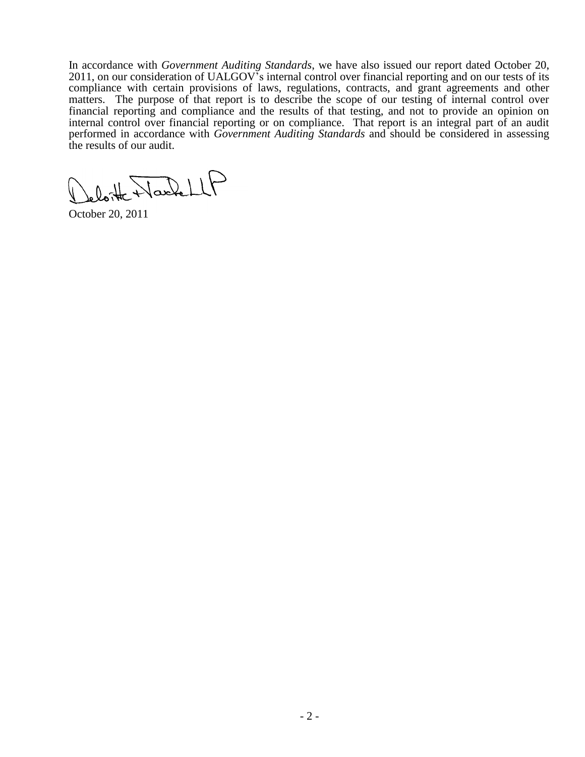In accordance with *Government Auditing Standards*, we have also issued our report dated October 20, 2011, on our consideration of UALGOV's internal control over financial reporting and on our tests of its compliance with certain provisions of laws, regulations, contracts, and grant agreements and other matters. The purpose of that report is to describe the scope of our testing of internal control over financial reporting and compliance and the results of that testing, and not to provide an opinion on internal control over financial reporting or on compliance. That report is an integral part of an audit performed in accordance with *Government Auditing Standards* and should be considered in assessing the results of our audit.

leloit Nach LP

October 20, 2011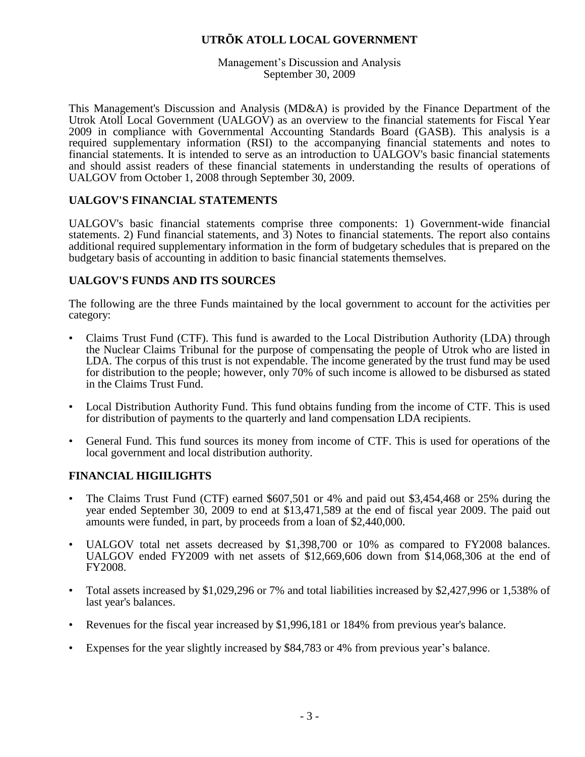#### Management's Discussion and Analysis September 30, 2009

This Management's Discussion and Analysis (MD&A) is provided by the Finance Department of the Utrok Atoll Local Government (UALGOV) as an overview to the financial statements for Fiscal Year 2009 in compliance with Governmental Accounting Standards Board (GASB). This analysis is a required supplementary information (RSI) to the accompanying financial statements and notes to financial statements. It is intended to serve as an introduction to UALGOV's basic financial statements and should assist readers of these financial statements in understanding the results of operations of UALGOV from October 1, 2008 through September 30, 2009.

# **UALGOV'S FINANCIAL STATEMENTS**

UALGOV's basic financial statements comprise three components: 1) Government-wide financial statements. 2) Fund financial statements, and 3) Notes to financial statements. The report also contains additional required supplementary information in the form of budgetary schedules that is prepared on the budgetary basis of accounting in addition to basic financial statements themselves.

### **UALGOV'S FUNDS AND ITS SOURCES**

The following are the three Funds maintained by the local government to account for the activities per category:

- Claims Trust Fund (CTF). This fund is awarded to the Local Distribution Authority (LDA) through the Nuclear Claims Tribunal for the purpose of compensating the people of Utrok who are listed in LDA. The corpus of this trust is not expendable. The income generated by the trust fund may be used for distribution to the people; however, only 70% of such income is allowed to be disbursed as stated in the Claims Trust Fund.
- Local Distribution Authority Fund. This fund obtains funding from the income of CTF. This is used for distribution of payments to the quarterly and land compensation LDA recipients.
- General Fund. This fund sources its money from income of CTF. This is used for operations of the local government and local distribution authority.

### **FINANCIAL HIGIILIGHTS**

- The Claims Trust Fund (CTF) earned \$607,501 or 4% and paid out \$3,454,468 or 25% during the year ended September 30, 2009 to end at \$13,471,589 at the end of fiscal year 2009. The paid out amounts were funded, in part, by proceeds from a loan of \$2,440,000.
- UALGOV total net assets decreased by \$1,398,700 or 10% as compared to FY2008 balances. UALGOV ended FY2009 with net assets of \$12,669,606 down from \$14,068,306 at the end of FY2008.
- Total assets increased by \$1,029,296 or 7% and total liabilities increased by \$2,427,996 or 1,538% of last year's balances.
- Revenues for the fiscal year increased by \$1,996,181 or 184% from previous year's balance.
- Expenses for the year slightly increased by \$84,783 or 4% from previous year's balance.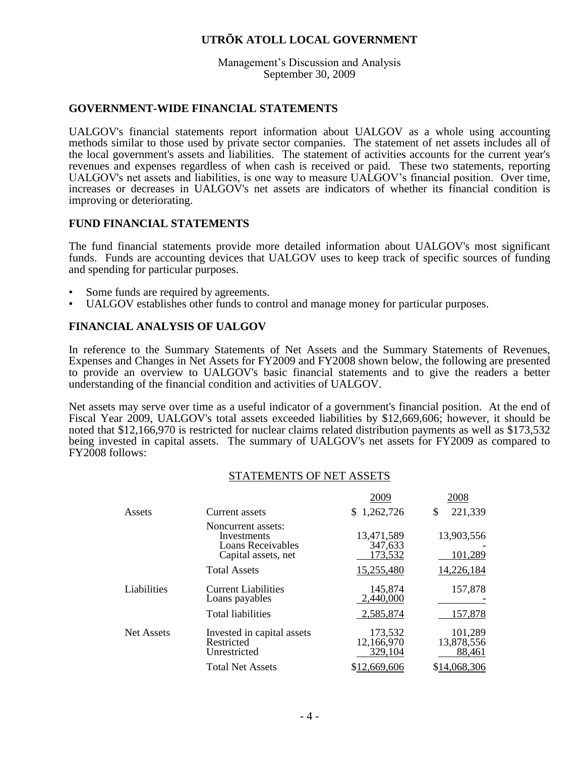Management's Discussion and Analysis September 30, 2009

### **GOVERNMENT-WIDE FINANCIAL STATEMENTS**

UALGOV's financial statements report information about UALGOV as a whole using accounting methods similar to those used by private sector companies. The statement of net assets includes all of the local government's assets and liabilities. The statement of activities accounts for the current year's revenues and expenses regardless of when cash is received or paid. These two statements, reporting UALGOV's net assets and liabilities, is one way to measure UALGOV's financial position. Over time, increases or decreases in UALGOV's net assets are indicators of whether its financial condition is improving or deteriorating.

#### **FUND FINANCIAL STATEMENTS**

The fund financial statements provide more detailed information about UALGOV's most significant funds. Funds are accounting devices that UALGOV uses to keep track of specific sources of funding and spending for particular purposes.

- Some funds are required by agreements.
- UALGOV establishes other funds to control and manage money for particular purposes.

# **FINANCIAL ANALYSIS OF UALGOV**

In reference to the Summary Statements of Net Assets and the Summary Statements of Revenues, Expenses and Changes in Net Assets for FY2009 and FY2008 shown below, the following are presented to provide an overview to UALGOV's basic financial statements and to give the readers a better understanding of the financial condition and activities of UALGOV.

Net assets may serve over time as a useful indicator of a government's financial position. At the end of Fiscal Year 2009, UALGOV's total assets exceeded liabilities by \$12,669,606; however, it should be noted that \$12,166,970 is restricted for nuclear claims related distribution payments as well as \$173,532 being invested in capital assets. The summary of UALGOV's net assets for FY2009 as compared to FY2008 follows:

#### STATEMENTS OF NET ASSETS

|                   |                                                                               | 2009                             | 2008                            |
|-------------------|-------------------------------------------------------------------------------|----------------------------------|---------------------------------|
| Assets            | Current assets                                                                | \$1,262,726                      | 221,339<br>\$                   |
|                   | Noncurrent assets:<br>Investments<br>Loans Receivables<br>Capital assets, net | 13,471,589<br>347,633<br>173,532 | 13,903,556<br>101,289           |
|                   | <b>Total Assets</b>                                                           | 15,255,480                       | 14,226,184                      |
| Liabilities       | <b>Current Liabilities</b><br>Loans payables                                  | 145,874<br>2,440,000             | 157,878                         |
|                   | <b>Total liabilities</b>                                                      | 2,585,874                        | 157,878                         |
| <b>Net Assets</b> | Invested in capital assets<br>Restricted<br>Unrestricted                      | 173,532<br>12,166,970<br>329,104 | 101,289<br>13,878,556<br>88,461 |
|                   | <b>Total Net Assets</b>                                                       | \$12,669,606                     | \$14,068,306                    |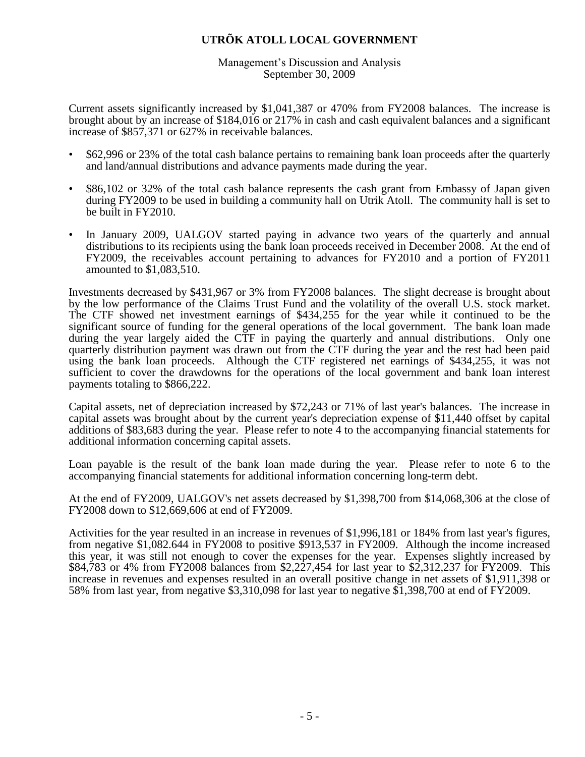Management's Discussion and Analysis September 30, 2009

Current assets significantly increased by \$1,041,387 or 470% from FY2008 balances. The increase is brought about by an increase of \$184,016 or 217% in cash and cash equivalent balances and a significant increase of \$857,371 or 627% in receivable balances.

- \$62,996 or 23% of the total cash balance pertains to remaining bank loan proceeds after the quarterly and land/annual distributions and advance payments made during the year.
- \$86,102 or 32% of the total cash balance represents the cash grant from Embassy of Japan given during FY2009 to be used in building a community hall on Utrik Atoll. The community hall is set to be built in FY2010.
- In January 2009, UALGOV started paying in advance two years of the quarterly and annual distributions to its recipients using the bank loan proceeds received in December 2008. At the end of FY2009, the receivables account pertaining to advances for FY2010 and a portion of FY2011 amounted to \$1,083,510.

Investments decreased by \$431,967 or 3% from FY2008 balances. The slight decrease is brought about by the low performance of the Claims Trust Fund and the volatility of the overall U.S. stock market. The CTF showed net investment earnings of \$434,255 for the year while it continued to be the significant source of funding for the general operations of the local government. The bank loan made during the year largely aided the CTF in paying the quarterly and annual distributions. Only one quarterly distribution payment was drawn out from the CTF during the year and the rest had been paid using the bank loan proceeds. Although the CTF registered net earnings of \$434,255, it was not sufficient to cover the drawdowns for the operations of the local government and bank loan interest payments totaling to \$866,222.

Capital assets, net of depreciation increased by \$72,243 or 71% of last year's balances. The increase in capital assets was brought about by the current year's depreciation expense of \$11,440 offset by capital additions of \$83,683 during the year. Please refer to note 4 to the accompanying financial statements for additional information concerning capital assets.

Loan payable is the result of the bank loan made during the year. Please refer to note 6 to the accompanying financial statements for additional information concerning long-term debt.

At the end of FY2009, UALGOV's net assets decreased by \$1,398,700 from \$14,068,306 at the close of FY2008 down to \$12,669,606 at end of FY2009.

Activities for the year resulted in an increase in revenues of \$1,996,181 or 184% from last year's figures, from negative \$1,082.644 in FY2008 to positive \$913,537 in FY2009. Although the income increased this year, it was still not enough to cover the expenses for the year. Expenses slightly increased by \$84,783 or 4% from FY2008 balances from \$2,227,454 for last year to \$2,312,237 for FY2009. This increase in revenues and expenses resulted in an overall positive change in net assets of \$1,911,398 or 58% from last year, from negative \$3,310,098 for last year to negative \$1,398,700 at end of FY2009.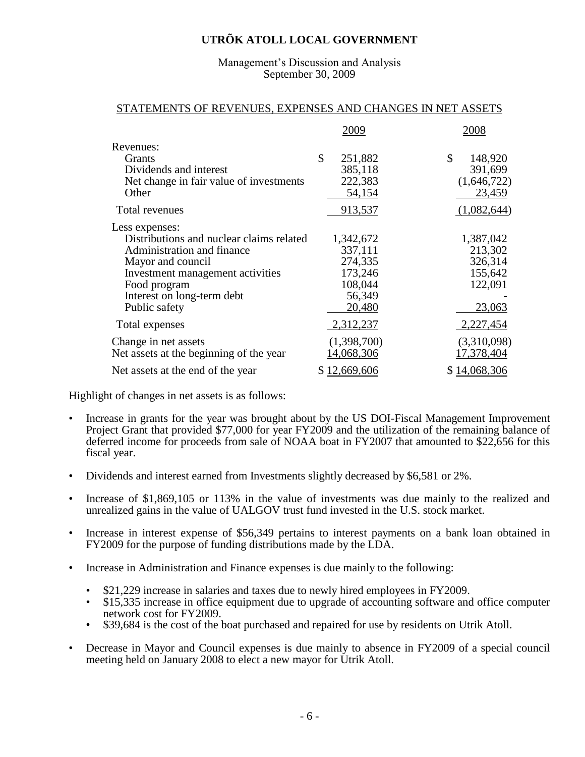Management's Discussion and Analysis September 30, 2009

#### STATEMENTS OF REVENUES, EXPENSES AND CHANGES IN NET ASSETS

|                                                                                                                                                                                                                  | 2009                                                                      | 2008                                                            |
|------------------------------------------------------------------------------------------------------------------------------------------------------------------------------------------------------------------|---------------------------------------------------------------------------|-----------------------------------------------------------------|
| Revenues:<br><b>Grants</b><br>Dividends and interest<br>Net change in fair value of investments<br>Other                                                                                                         | \$<br>251,882<br>385,118<br>222,383<br>54,154                             | \$<br>148,920<br>391,699<br>(1,646,722)<br>23,459               |
| Total revenues                                                                                                                                                                                                   | 913,537                                                                   | (1,082,644)                                                     |
| Less expenses:<br>Distributions and nuclear claims related<br>Administration and finance<br>Mayor and council<br>Investment management activities<br>Food program<br>Interest on long-term debt<br>Public safety | 1,342,672<br>337,111<br>274,335<br>173,246<br>108,044<br>56,349<br>20,480 | 1,387,042<br>213,302<br>326,314<br>155,642<br>122,091<br>23,063 |
| Total expenses                                                                                                                                                                                                   | 2,312,237                                                                 | 2,227,454                                                       |
| Change in net assets<br>Net assets at the beginning of the year                                                                                                                                                  | (1,398,700)<br>14,068,306                                                 | (3,310,098)<br>17,378,404                                       |
| Net assets at the end of the year                                                                                                                                                                                | 12,669,606                                                                | 14,068,306                                                      |

Highlight of changes in net assets is as follows:

- Increase in grants for the year was brought about by the US DOI-Fiscal Management Improvement Project Grant that provided \$77,000 for year FY2009 and the utilization of the remaining balance of deferred income for proceeds from sale of NOAA boat in FY2007 that amounted to \$22,656 for this fiscal year.
- Dividends and interest earned from Investments slightly decreased by \$6,581 or 2%.
- Increase of \$1,869,105 or 113% in the value of investments was due mainly to the realized and unrealized gains in the value of UALGOV trust fund invested in the U.S. stock market.
- Increase in interest expense of \$56,349 pertains to interest payments on a bank loan obtained in FY2009 for the purpose of funding distributions made by the LDA.
- Increase in Administration and Finance expenses is due mainly to the following:
	- \$21,229 increase in salaries and taxes due to newly hired employees in FY2009.
	- \$15,335 increase in office equipment due to upgrade of accounting software and office computer network cost for FY2009.
	- \$39,684 is the cost of the boat purchased and repaired for use by residents on Utrik Atoll.
- Decrease in Mayor and Council expenses is due mainly to absence in FY2009 of a special council meeting held on January 2008 to elect a new mayor for Utrik Atoll.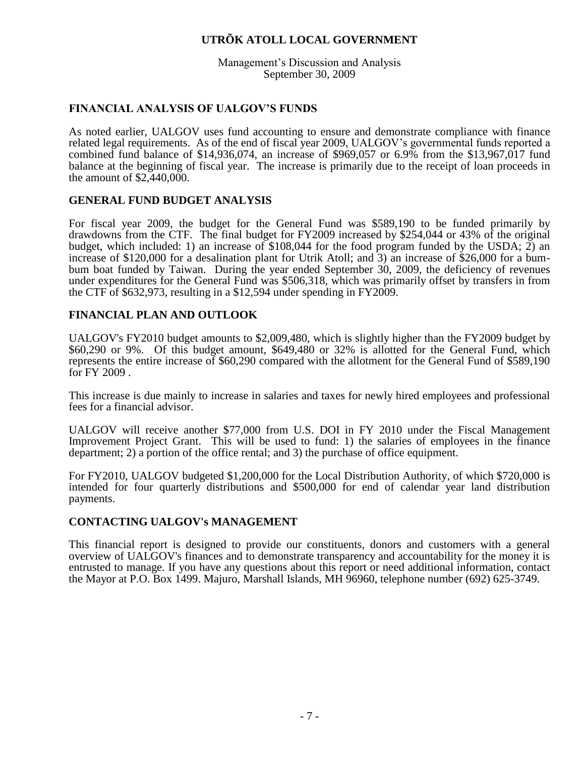Management's Discussion and Analysis September 30, 2009

# **FINANCIAL ANALYSIS OF UALGOV'S FUNDS**

As noted earlier, UALGOV uses fund accounting to ensure and demonstrate compliance with finance related legal requirements. As of the end of fiscal year 2009, UALGOV's governmental funds reported a combined fund balance of \$14,936,074, an increase of \$969,057 or 6.9% from the \$13,967,017 fund balance at the beginning of fiscal year. The increase is primarily due to the receipt of loan proceeds in the amount of \$2,440,000.

### **GENERAL FUND BUDGET ANALYSIS**

For fiscal year 2009, the budget for the General Fund was \$589,190 to be funded primarily by drawdowns from the CTF. The final budget for FY2009 increased by \$254,044 or 43% of the original budget, which included: 1) an increase of \$108,044 for the food program funded by the USDA; 2) an increase of \$120,000 for a desalination plant for Utrik Atoll; and 3) an increase of \$26,000 for a bumbum boat funded by Taiwan. During the year ended September 30, 2009, the deficiency of revenues under expenditures for the General Fund was \$506,318, which was primarily offset by transfers in from the CTF of \$632,973, resulting in a \$12,594 under spending in FY2009.

# **FINANCIAL PLAN AND OUTLOOK**

UALGOV's FY2010 budget amounts to \$2,009,480, which is slightly higher than the FY2009 budget by \$60,290 or 9%. Of this budget amount, \$649,480 or 32% is allotted for the General Fund, which represents the entire increase of \$60,290 compared with the allotment for the General Fund of \$589,190 for FY 2009 .

This increase is due mainly to increase in salaries and taxes for newly hired employees and professional fees for a financial advisor.

UALGOV will receive another \$77,000 from U.S. DOI in FY 2010 under the Fiscal Management Improvement Project Grant. This will be used to fund: 1) the salaries of employees in the finance department; 2) a portion of the office rental; and 3) the purchase of office equipment.

For FY2010, UALGOV budgeted \$1,200,000 for the Local Distribution Authority, of which \$720,000 is intended for four quarterly distributions and \$500,000 for end of calendar year land distribution payments.

### **CONTACTING UALGOV's MANAGEMENT**

This financial report is designed to provide our constituents, donors and customers with a general overview of UALGOV's finances and to demonstrate transparency and accountability for the money it is entrusted to manage. If you have any questions about this report or need additional information, contact the Mayor at P.O. Box 1499. Majuro, Marshall Islands, MH 96960, telephone number (692) 625-3749.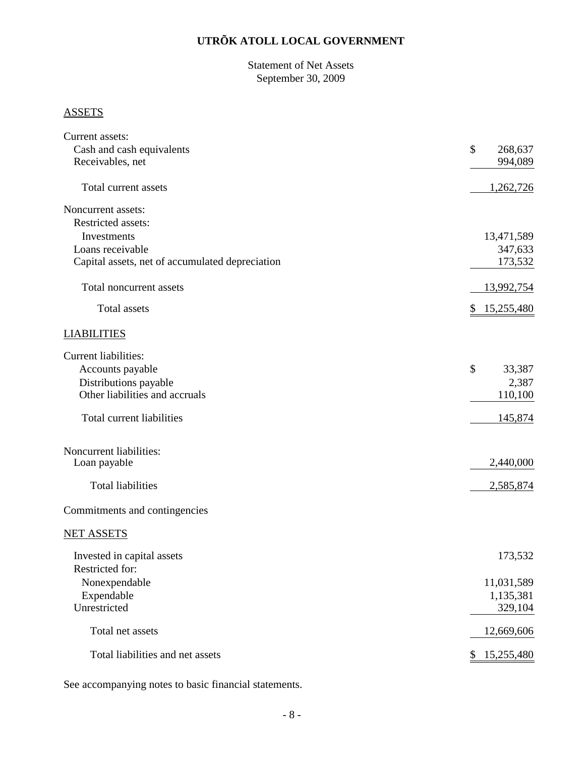| <b>Statement of Net Assets</b> |
|--------------------------------|
| September 30, 2009             |

# **ASSETS**

| Current assets:                                 |                  |
|-------------------------------------------------|------------------|
| Cash and cash equivalents                       | \$<br>268,637    |
| Receivables, net                                | 994,089          |
|                                                 |                  |
| Total current assets                            | 1,262,726        |
| Noncurrent assets:                              |                  |
| Restricted assets:                              |                  |
| Investments                                     | 13,471,589       |
| Loans receivable                                | 347,633          |
| Capital assets, net of accumulated depreciation | 173,532          |
|                                                 |                  |
| Total noncurrent assets                         | 13,992,754       |
|                                                 |                  |
| Total assets                                    | 15,255,480<br>\$ |
| <b>LIABILITIES</b>                              |                  |
| <b>Current liabilities:</b>                     |                  |
| Accounts payable                                | \$<br>33,387     |
| Distributions payable                           | 2,387            |
| Other liabilities and accruals                  | 110,100          |
|                                                 |                  |
| Total current liabilities                       | 145,874          |
|                                                 |                  |
| Noncurrent liabilities:                         |                  |
| Loan payable                                    | 2,440,000        |
|                                                 |                  |
| <b>Total liabilities</b>                        | 2,585,874        |
| Commitments and contingencies                   |                  |
| <b>NET ASSETS</b>                               |                  |
| Invested in capital assets                      | 173,532          |
| Restricted for:                                 |                  |
|                                                 |                  |
| Nonexpendable                                   | 11,031,589       |
| Expendable                                      | 1,135,381        |
| Unrestricted                                    | 329,104          |
| Total net assets                                | 12,669,606       |
| Total liabilities and net assets                | 15,255,480<br>\$ |
|                                                 |                  |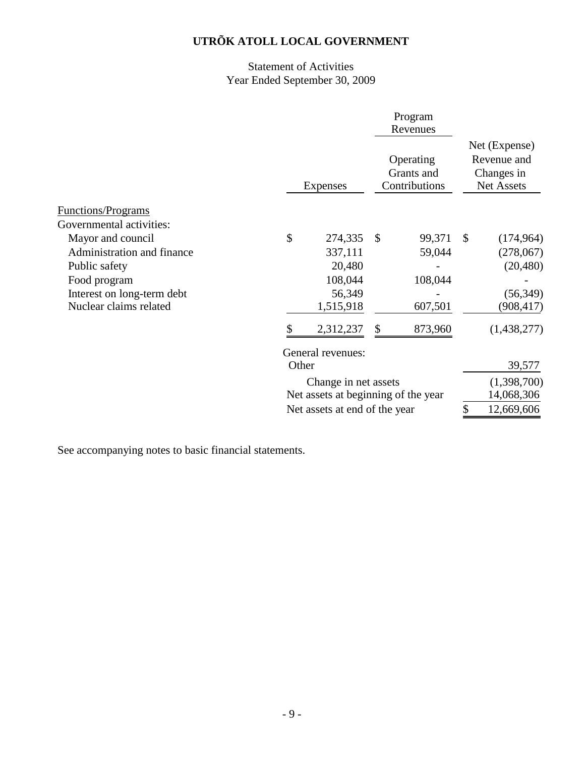# Statement of Activities Year Ended September 30, 2009

|                                                 |       |                                     |                                          | Program<br>Revenues |              |                                                                 |
|-------------------------------------------------|-------|-------------------------------------|------------------------------------------|---------------------|--------------|-----------------------------------------------------------------|
|                                                 |       | <b>Expenses</b>                     | Operating<br>Grants and<br>Contributions |                     |              | Net (Expense)<br>Revenue and<br>Changes in<br><b>Net Assets</b> |
| <b>Functions/Programs</b>                       |       |                                     |                                          |                     |              |                                                                 |
| Governmental activities:                        |       |                                     |                                          |                     |              |                                                                 |
| Mayor and council<br>Administration and finance | \$    | 274,335<br>337,111                  | $\mathcal{S}$                            | 99,371<br>59,044    | $\mathbb{S}$ | (174, 964)<br>(278,067)                                         |
| Public safety                                   |       | 20,480                              |                                          |                     |              | (20, 480)                                                       |
| Food program                                    |       | 108,044                             |                                          | 108,044             |              |                                                                 |
| Interest on long-term debt                      |       | 56,349                              |                                          |                     |              | (56, 349)                                                       |
| Nuclear claims related                          |       | 1,515,918                           |                                          | 607,501             |              | (908, 417)                                                      |
|                                                 |       | 2,312,237                           |                                          | 873,960             |              | (1,438,277)                                                     |
|                                                 |       | General revenues:                   |                                          |                     |              |                                                                 |
|                                                 | Other |                                     |                                          |                     |              | 39,577                                                          |
|                                                 |       | Change in net assets                |                                          |                     |              | (1,398,700)                                                     |
|                                                 |       | Net assets at beginning of the year |                                          |                     |              | 14,068,306                                                      |
|                                                 |       | Net assets at end of the year       |                                          |                     | \$           | 12,669,606                                                      |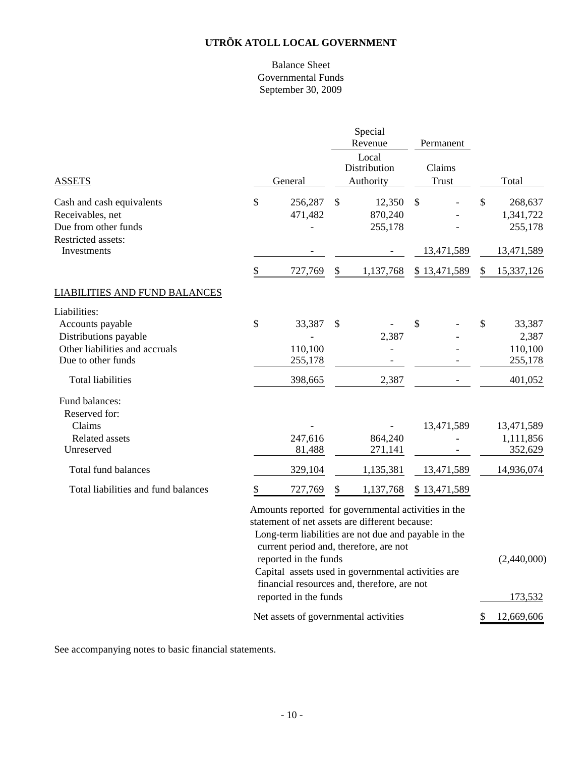### Balance Sheet Governmental Funds September 30, 2009

|                                                                                             |                                       | Special<br>Revenue<br>Local                                                                                                                                                                             |                        | Permanent    |               |                                 |
|---------------------------------------------------------------------------------------------|---------------------------------------|---------------------------------------------------------------------------------------------------------------------------------------------------------------------------------------------------------|------------------------|--------------|---------------|---------------------------------|
| <b>ASSETS</b>                                                                               | General                               | Distribution<br>Authority                                                                                                                                                                               | Claims<br><b>Trust</b> |              |               | Total                           |
| Cash and cash equivalents<br>Receivables, net<br>Due from other funds<br>Restricted assets: | \$<br>256,287<br>471,482              | \$<br>12,350<br>870,240<br>255,178                                                                                                                                                                      | \$                     |              | $\mathcal{S}$ | 268,637<br>1,341,722<br>255,178 |
| Investments                                                                                 |                                       |                                                                                                                                                                                                         |                        | 13,471,589   |               | 13,471,589                      |
|                                                                                             | \$<br>727,769                         | \$<br>1,137,768                                                                                                                                                                                         |                        | \$13,471,589 | \$            | 15,337,126                      |
| <b>LIABILITIES AND FUND BALANCES</b>                                                        |                                       |                                                                                                                                                                                                         |                        |              |               |                                 |
| Liabilities:<br>Accounts payable                                                            | \$<br>33,387                          | \$                                                                                                                                                                                                      | \$                     |              | \$            | 33,387                          |
| Distributions payable<br>Other liabilities and accruals                                     | 110,100                               | 2,387                                                                                                                                                                                                   |                        |              |               | 2,387<br>110,100                |
| Due to other funds                                                                          | 255,178                               |                                                                                                                                                                                                         |                        |              |               | 255,178                         |
| <b>Total liabilities</b>                                                                    | 398,665                               | 2,387                                                                                                                                                                                                   |                        |              |               | 401,052                         |
| Fund balances:<br>Reserved for:                                                             |                                       |                                                                                                                                                                                                         |                        |              |               |                                 |
| Claims<br><b>Related</b> assets                                                             | 247,616                               | 864,240                                                                                                                                                                                                 |                        | 13,471,589   |               | 13,471,589<br>1,111,856         |
| Unreserved                                                                                  | 81,488                                | 271,141                                                                                                                                                                                                 |                        |              |               | 352,629                         |
| Total fund balances                                                                         | 329,104                               | 1,135,381                                                                                                                                                                                               |                        | 13,471,589   |               | 14,936,074                      |
| Total liabilities and fund balances                                                         | \$<br>727,769                         | \$<br>1,137,768                                                                                                                                                                                         |                        | \$13,471,589 |               |                                 |
|                                                                                             |                                       | Amounts reported for governmental activities in the<br>statement of net assets are different because:<br>Long-term liabilities are not due and payable in the<br>current period and, therefore, are not |                        |              |               |                                 |
|                                                                                             | reported in the funds                 | Capital assets used in governmental activities are<br>financial resources and, therefore, are not                                                                                                       |                        |              |               | (2,440,000)                     |
|                                                                                             | reported in the funds                 |                                                                                                                                                                                                         |                        |              |               | 173,532                         |
|                                                                                             | Net assets of governmental activities |                                                                                                                                                                                                         |                        |              | \$            | 12,669,606                      |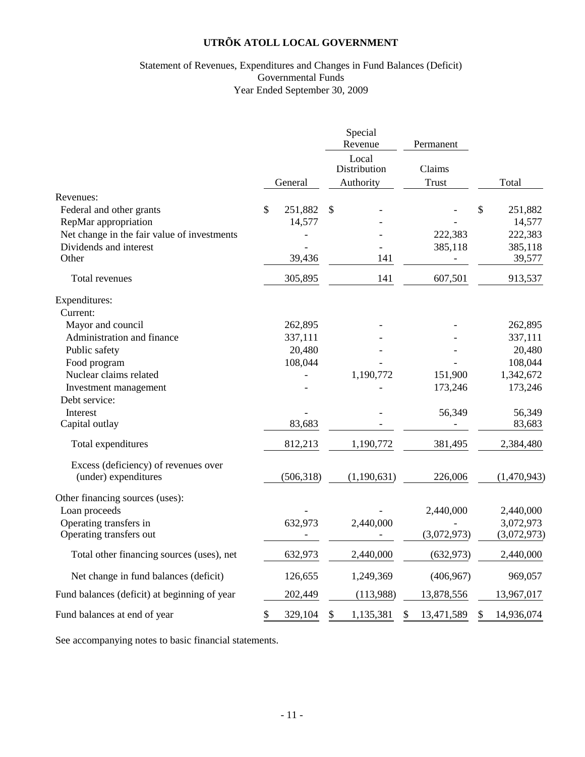# Statement of Revenues, Expenditures and Changes in Fund Balances (Deficit) Governmental Funds Year Ended September 30, 2009

|                                              |               | Special<br>Revenue    | Permanent        |                  |
|----------------------------------------------|---------------|-----------------------|------------------|------------------|
|                                              |               | Local<br>Distribution | Claims           |                  |
|                                              | General       | Authority             | <b>Trust</b>     | Total            |
| Revenues:                                    |               |                       |                  |                  |
| Federal and other grants                     | \$<br>251,882 | \$                    |                  | \$<br>251,882    |
| RepMar appropriation                         | 14,577        |                       |                  | 14,577           |
| Net change in the fair value of investments  |               |                       | 222,383          | 222,383          |
| Dividends and interest                       |               |                       | 385,118          | 385,118          |
| Other                                        | 39,436        | 141                   |                  | 39,577           |
| Total revenues                               | 305,895       | 141                   | 607,501          | 913,537          |
| Expenditures:                                |               |                       |                  |                  |
| Current:                                     |               |                       |                  |                  |
| Mayor and council                            | 262,895       |                       |                  | 262,895          |
| Administration and finance                   | 337,111       |                       |                  | 337,111          |
| Public safety                                | 20,480        |                       |                  | 20,480           |
| Food program                                 | 108,044       |                       |                  | 108,044          |
| Nuclear claims related                       |               | 1,190,772             | 151,900          | 1,342,672        |
| Investment management                        |               |                       | 173,246          | 173,246          |
| Debt service:                                |               |                       |                  |                  |
| Interest                                     |               |                       | 56,349           | 56,349           |
| Capital outlay                               | 83,683        |                       |                  | 83,683           |
| Total expenditures                           | 812,213       | 1,190,772             | 381,495          | 2,384,480        |
| Excess (deficiency) of revenues over         |               |                       |                  |                  |
| (under) expenditures                         | (506, 318)    | (1,190,631)           | 226,006          | (1,470,943)      |
| Other financing sources (uses):              |               |                       |                  |                  |
| Loan proceeds                                |               |                       | 2,440,000        | 2,440,000        |
| Operating transfers in                       | 632,973       | 2,440,000             |                  | 3,072,973        |
| Operating transfers out                      |               |                       | (3,072,973)      | (3,072,973)      |
| Total other financing sources (uses), net    | 632,973       | 2,440,000             | (632, 973)       | 2,440,000        |
| Net change in fund balances (deficit)        | 126,655       | 1,249,369             | (406, 967)       | 969,057          |
| Fund balances (deficit) at beginning of year | 202,449       | (113,988)             | 13,878,556       | 13,967,017       |
| Fund balances at end of year                 | \$<br>329,104 | \$<br>1,135,381       | \$<br>13,471,589 | \$<br>14,936,074 |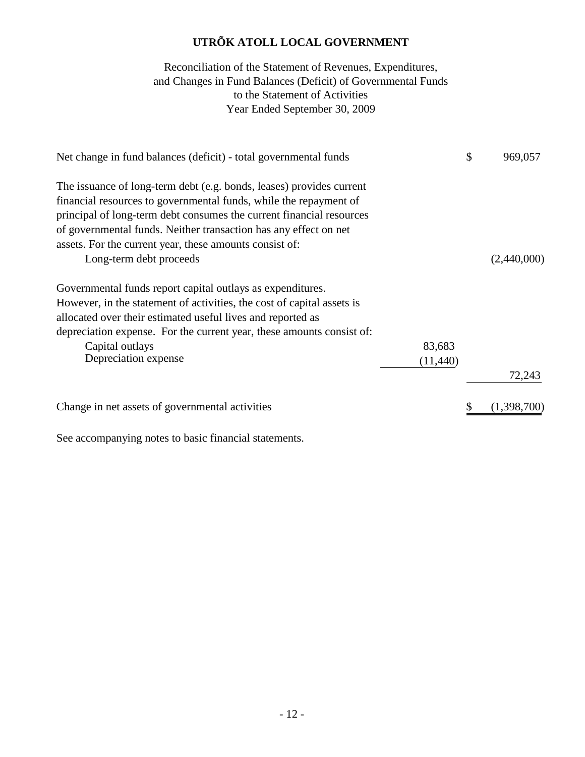to the Statement of Activities Year Ended September 30, 2009 Reconciliation of the Statement of Revenues, Expenditures, and Changes in Fund Balances (Deficit) of Governmental Funds

| Net change in fund balances (deficit) - total governmental funds       |           | \$<br>969,057 |
|------------------------------------------------------------------------|-----------|---------------|
| The issuance of long-term debt (e.g. bonds, leases) provides current   |           |               |
| financial resources to governmental funds, while the repayment of      |           |               |
| principal of long-term debt consumes the current financial resources   |           |               |
| of governmental funds. Neither transaction has any effect on net       |           |               |
| assets. For the current year, these amounts consist of:                |           |               |
| Long-term debt proceeds                                                |           | (2,440,000)   |
| Governmental funds report capital outlays as expenditures.             |           |               |
| However, in the statement of activities, the cost of capital assets is |           |               |
| allocated over their estimated useful lives and reported as            |           |               |
| depreciation expense. For the current year, these amounts consist of:  |           |               |
| Capital outlays                                                        | 83,683    |               |
| Depreciation expense                                                   | (11, 440) |               |
|                                                                        |           | 72,243        |
| Change in net assets of governmental activities                        |           | (1,398,700)   |
|                                                                        |           |               |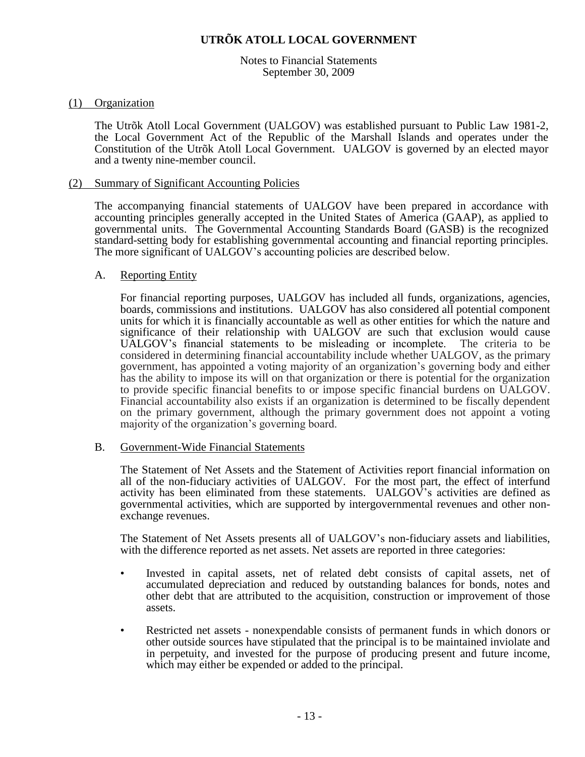Notes to Financial Statements September 30, 2009

#### (1) Organization

The Utrõk Atoll Local Government (UALGOV) was established pursuant to Public Law 1981-2, the Local Government Act of the Republic of the Marshall Islands and operates under the Constitution of the Utrõk Atoll Local Government. UALGOV is governed by an elected mayor and a twenty nine-member council.

#### (2) Summary of Significant Accounting Policies

The accompanying financial statements of UALGOV have been prepared in accordance with accounting principles generally accepted in the United States of America (GAAP), as applied to governmental units. The Governmental Accounting Standards Board (GASB) is the recognized standard-setting body for establishing governmental accounting and financial reporting principles. The more significant of UALGOV's accounting policies are described below.

#### A. Reporting Entity

For financial reporting purposes, UALGOV has included all funds, organizations, agencies, boards, commissions and institutions. UALGOV has also considered all potential component units for which it is financially accountable as well as other entities for which the nature and significance of their relationship with UALGOV are such that exclusion would cause UALGOV's financial statements to be misleading or incomplete. The criteria to be considered in determining financial accountability include whether UALGOV, as the primary government, has appointed a voting majority of an organization's governing body and either has the ability to impose its will on that organization or there is potential for the organization to provide specific financial benefits to or impose specific financial burdens on UALGOV. Financial accountability also exists if an organization is determined to be fiscally dependent on the primary government, although the primary government does not appoint a voting majority of the organization's governing board.

#### B. Government-Wide Financial Statements

The Statement of Net Assets and the Statement of Activities report financial information on all of the non-fiduciary activities of UALGOV. For the most part, the effect of interfund activity has been eliminated from these statements. UALGOV's activities are defined as governmental activities, which are supported by intergovernmental revenues and other nonexchange revenues.

The Statement of Net Assets presents all of UALGOV's non-fiduciary assets and liabilities, with the difference reported as net assets. Net assets are reported in three categories:

- Invested in capital assets, net of related debt consists of capital assets, net of accumulated depreciation and reduced by outstanding balances for bonds, notes and other debt that are attributed to the acquisition, construction or improvement of those assets.
- Restricted net assets nonexpendable consists of permanent funds in which donors or other outside sources have stipulated that the principal is to be maintained inviolate and in perpetuity, and invested for the purpose of producing present and future income, which may either be expended or added to the principal.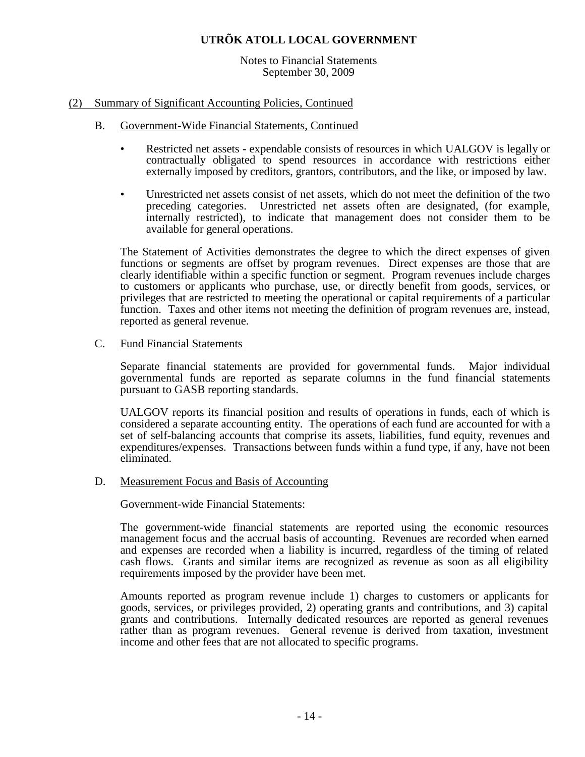Notes to Financial Statements September 30, 2009

#### (2) Summary of Significant Accounting Policies, Continued

- B. Government-Wide Financial Statements, Continued
	- Restricted net assets **-** expendable consists of resources in which UALGOV is legally or contractually obligated to spend resources in accordance with restrictions either externally imposed by creditors, grantors, contributors, and the like, or imposed by law.
	- Unrestricted net assets consist of net assets, which do not meet the definition of the two preceding categories. Unrestricted net assets often are designated, (for example, internally restricted), to indicate that management does not consider them to be available for general operations.

The Statement of Activities demonstrates the degree to which the direct expenses of given functions or segments are offset by program revenues. Direct expenses are those that are clearly identifiable within a specific function or segment. Program revenues include charges to customers or applicants who purchase, use, or directly benefit from goods, services, or privileges that are restricted to meeting the operational or capital requirements of a particular function. Taxes and other items not meeting the definition of program revenues are, instead, reported as general revenue.

#### C. Fund Financial Statements

Separate financial statements are provided for governmental funds. Major individual governmental funds are reported as separate columns in the fund financial statements pursuant to GASB reporting standards.

UALGOV reports its financial position and results of operations in funds, each of which is considered a separate accounting entity. The operations of each fund are accounted for with a set of self-balancing accounts that comprise its assets, liabilities, fund equity, revenues and expenditures/expenses. Transactions between funds within a fund type, if any, have not been eliminated.

#### D. Measurement Focus and Basis of Accounting

Government-wide Financial Statements:

The government-wide financial statements are reported using the economic resources management focus and the accrual basis of accounting. Revenues are recorded when earned and expenses are recorded when a liability is incurred, regardless of the timing of related cash flows. Grants and similar items are recognized as revenue as soon as all eligibility requirements imposed by the provider have been met.

Amounts reported as program revenue include 1) charges to customers or applicants for goods, services, or privileges provided, 2) operating grants and contributions, and 3) capital grants and contributions. Internally dedicated resources are reported as general revenues rather than as program revenues. General revenue is derived from taxation, investment income and other fees that are not allocated to specific programs.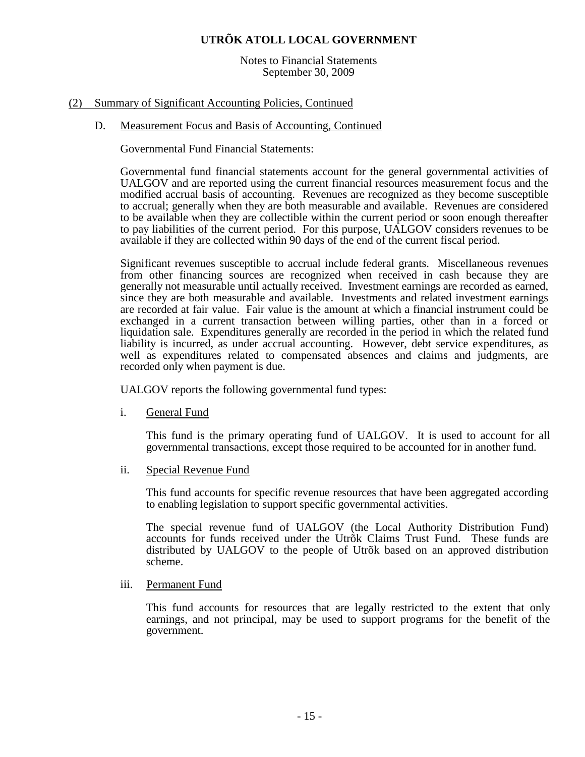Notes to Financial Statements September 30, 2009

#### (2) Summary of Significant Accounting Policies, Continued

#### D. Measurement Focus and Basis of Accounting, Continued

Governmental Fund Financial Statements:

Governmental fund financial statements account for the general governmental activities of UALGOV and are reported using the current financial resources measurement focus and the modified accrual basis of accounting. Revenues are recognized as they become susceptible to accrual; generally when they are both measurable and available. Revenues are considered to be available when they are collectible within the current period or soon enough thereafter to pay liabilities of the current period. For this purpose, UALGOV considers revenues to be available if they are collected within 90 days of the end of the current fiscal period.

Significant revenues susceptible to accrual include federal grants. Miscellaneous revenues from other financing sources are recognized when received in cash because they are generally not measurable until actually received. Investment earnings are recorded as earned, since they are both measurable and available. Investments and related investment earnings are recorded at fair value. Fair value is the amount at which a financial instrument could be exchanged in a current transaction between willing parties, other than in a forced or liquidation sale. Expenditures generally are recorded in the period in which the related fund liability is incurred, as under accrual accounting. However, debt service expenditures, as well as expenditures related to compensated absences and claims and judgments, are recorded only when payment is due.

UALGOV reports the following governmental fund types:

i. General Fund

This fund is the primary operating fund of UALGOV. It is used to account for all governmental transactions, except those required to be accounted for in another fund.

ii. Special Revenue Fund

This fund accounts for specific revenue resources that have been aggregated according to enabling legislation to support specific governmental activities.

The special revenue fund of UALGOV (the Local Authority Distribution Fund) accounts for funds received under the Utrõk Claims Trust Fund. These funds are distributed by UALGOV to the people of Utrõk based on an approved distribution scheme.

iii. Permanent Fund

This fund accounts for resources that are legally restricted to the extent that only earnings, and not principal, may be used to support programs for the benefit of the government.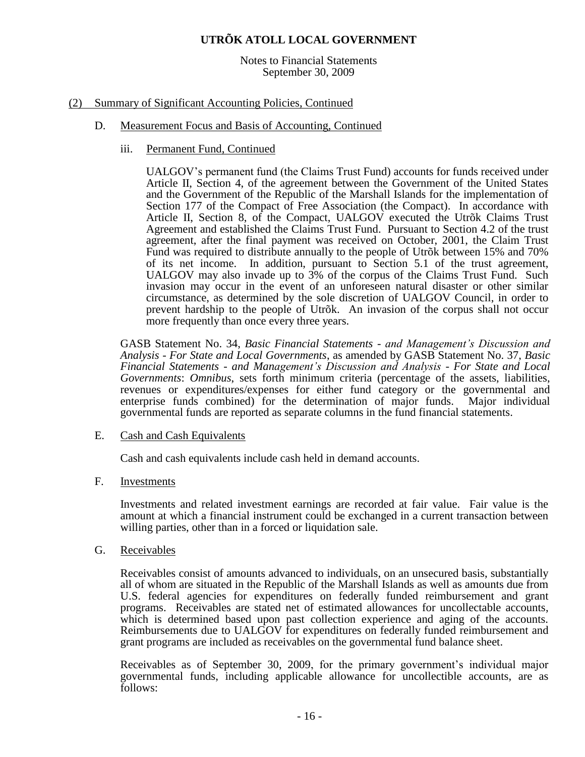#### Notes to Financial Statements September 30, 2009

#### (2) Summary of Significant Accounting Policies, Continued

- D. Measurement Focus and Basis of Accounting, Continued
	- iii. Permanent Fund, Continued

UALGOV's permanent fund (the Claims Trust Fund) accounts for funds received under Article II, Section 4, of the agreement between the Government of the United States and the Government of the Republic of the Marshall Islands for the implementation of Section 177 of the Compact of Free Association (the Compact). In accordance with Article II, Section 8, of the Compact, UALGOV executed the Utrõk Claims Trust Agreement and established the Claims Trust Fund. Pursuant to Section 4.2 of the trust agreement, after the final payment was received on October, 2001, the Claim Trust Fund was required to distribute annually to the people of Utrõk between 15% and 70% of its net income. In addition, pursuant to Section 5.1 of the trust agreement, UALGOV may also invade up to 3% of the corpus of the Claims Trust Fund. Such invasion may occur in the event of an unforeseen natural disaster or other similar circumstance, as determined by the sole discretion of UALGOV Council, in order to prevent hardship to the people of Utrõk. An invasion of the corpus shall not occur more frequently than once every three years.

GASB Statement No. 34, *Basic Financial Statements - and Management's Discussion and Analysis - For State and Local Governments*, as amended by GASB Statement No. 37, *Basic Financial Statements - and Management's Discussion and Analysis - For State and Local Governments*: *Omnibus*, sets forth minimum criteria (percentage of the assets, liabilities, revenues or expenditures/expenses for either fund category or the governmental and enterprise funds combined) for the determination of major funds. Major individual governmental funds are reported as separate columns in the fund financial statements.

E. Cash and Cash Equivalents

Cash and cash equivalents include cash held in demand accounts.

F. Investments

Investments and related investment earnings are recorded at fair value. Fair value is the amount at which a financial instrument could be exchanged in a current transaction between willing parties, other than in a forced or liquidation sale.

G. Receivables

Receivables consist of amounts advanced to individuals, on an unsecured basis, substantially all of whom are situated in the Republic of the Marshall Islands as well as amounts due from U.S. federal agencies for expenditures on federally funded reimbursement and grant programs. Receivables are stated net of estimated allowances for uncollectable accounts, which is determined based upon past collection experience and aging of the accounts. Reimbursements due to UALGOV for expenditures on federally funded reimbursement and grant programs are included as receivables on the governmental fund balance sheet.

Receivables as of September 30, 2009, for the primary government's individual major governmental funds, including applicable allowance for uncollectible accounts, are as follows: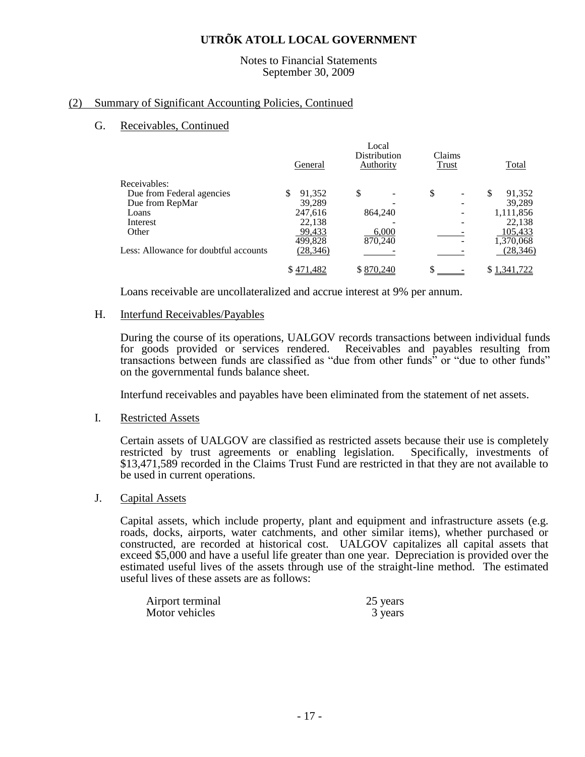#### Notes to Financial Statements September 30, 2009

### (2) Summary of Significant Accounting Policies, Continued

#### G. Receivables, Continued

|                                       | General      | Local<br>Distribution<br>Authority | Claims<br>Trust | <b>Total</b> |
|---------------------------------------|--------------|------------------------------------|-----------------|--------------|
| Receivables:                          |              |                                    |                 |              |
| Due from Federal agencies             | \$<br>91,352 | \$                                 | \$              | \$<br>91,352 |
| Due from RepMar                       | 39,289       |                                    |                 | 39,289       |
| Loans                                 | 247,616      | 864,240                            |                 | 1,111,856    |
| Interest                              | 22,138       |                                    |                 | 22,138       |
| Other                                 | 99,433       | 6,000                              |                 | 105,433      |
|                                       | 499,828      | 870,240                            |                 | 1,370,068    |
| Less: Allowance for doubtful accounts | (28, 346)    |                                    |                 | (28, 346)    |
|                                       | \$471,482    | \$870,240                          | \$              | ,341,722     |

Loans receivable are uncollateralized and accrue interest at 9% per annum.

#### H. Interfund Receivables/Payables

During the course of its operations, UALGOV records transactions between individual funds for goods provided or services rendered. Receivables and payables resulting from transactions between funds are classified as "due from other funds" or "due to other funds" on the governmental funds balance sheet.

Interfund receivables and payables have been eliminated from the statement of net assets.

#### I. Restricted Assets

Certain assets of UALGOV are classified as restricted assets because their use is completely restricted by trust agreements or enabling legislation. Specifically, investments of restricted by trust agreements or enabling legislation. \$13,471,589 recorded in the Claims Trust Fund are restricted in that they are not available to be used in current operations.

#### J. Capital Assets

Capital assets, which include property, plant and equipment and infrastructure assets (e.g. roads, docks, airports, water catchments, and other similar items), whether purchased or constructed, are recorded at historical cost. UALGOV capitalizes all capital assets that exceed \$5,000 and have a useful life greater than one year. Depreciation is provided over the estimated useful lives of the assets through use of the straight-line method. The estimated useful lives of these assets are as follows:

| Airport terminal | 25 years |
|------------------|----------|
| Motor vehicles   | 3 years  |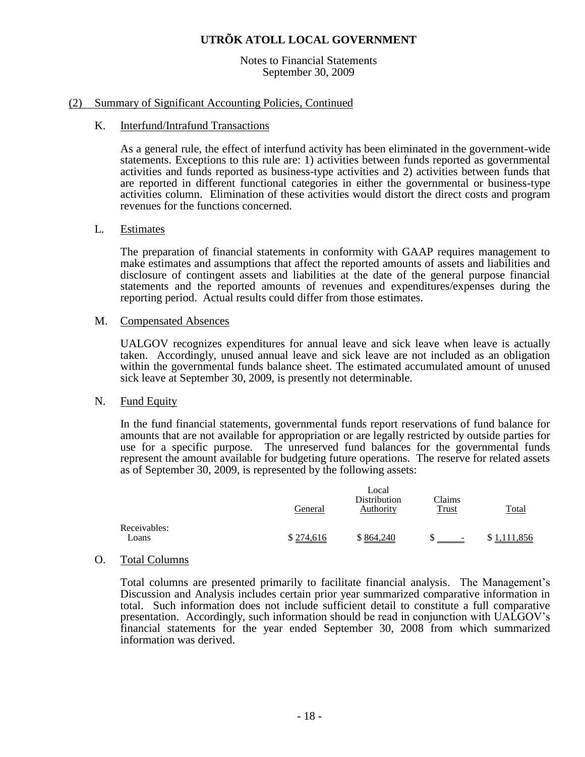Notes to Financial Statements September 30, 2009

#### (2) Summary of Significant Accounting Policies, Continued

#### K. Interfund/Intrafund Transactions

As a general rule, the effect of interfund activity has been eliminated in the government-wide statements. Exceptions to this rule are: 1) activities between funds reported as governmental activities and funds reported as business-type activities and 2) activities between funds that are reported in different functional categories in either the governmental or business-type activities column. Elimination of these activities would distort the direct costs and program revenues for the functions concerned.

#### L. Estimates

The preparation of financial statements in conformity with GAAP requires management to make estimates and assumptions that affect the reported amounts of assets and liabilities and disclosure of contingent assets and liabilities at the date of the general purpose financial statements and the reported amounts of revenues and expenditures/expenses during the reporting period. Actual results could differ from those estimates.

#### M. Compensated Absences

UALGOV recognizes expenditures for annual leave and sick leave when leave is actually taken. Accordingly, unused annual leave and sick leave are not included as an obligation within the governmental funds balance sheet. The estimated accumulated amount of unused sick leave at September 30, 2009, is presently not determinable.

#### N. Fund Equity

In the fund financial statements, governmental funds report reservations of fund balance for amounts that are not available for appropriation or are legally restricted by outside parties for use for a specific purpose. The unreserved fund balances for the governmental funds represent the amount available for budgeting future operations. The reserve for related assets as of September 30, 2009, is represented by the following assets:

|                       | General   | Local<br>Distribution<br>Authority | Claims<br>Trust          | Total     |
|-----------------------|-----------|------------------------------------|--------------------------|-----------|
| Receivables:<br>Loans | \$274,616 | \$864,240                          | <b>Contract Contract</b> | 1,111,856 |

#### O. Total Columns

Total columns are presented primarily to facilitate financial analysis. The Management's Discussion and Analysis includes certain prior year summarized comparative information in total. Such information does not include sufficient detail to constitute a full comparative presentation. Accordingly, such information should be read in conjunction with UALGOV's financial statements for the year ended September 30, 2008 from which summarized information was derived.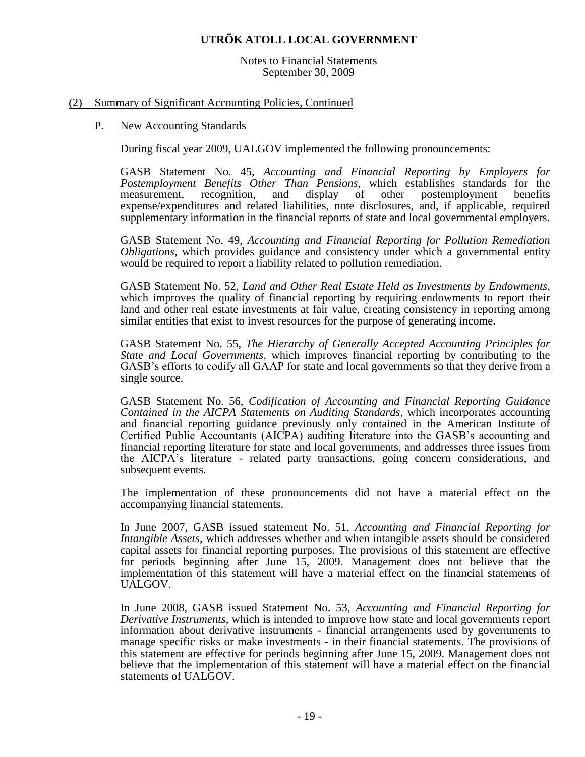Notes to Financial Statements September 30, 2009

#### (2) Summary of Significant Accounting Policies, Continued

#### P. New Accounting Standards

During fiscal year 2009, UALGOV implemented the following pronouncements:

GASB Statement No. 45, *Accounting and Financial Reporting by Employers for Postemployment Benefits Other Than Pensions*, which establishes standards for the measurement, recognition, and display of other postemployment benefits expense/expenditures and related liabilities, note disclosures, and, if applicable, required supplementary information in the financial reports of state and local governmental employers.

GASB Statement No. 49, *Accounting and Financial Reporting for Pollution Remediation Obligations*, which provides guidance and consistency under which a governmental entity would be required to report a liability related to pollution remediation.

GASB Statement No. 52, *Land and Other Real Estate Held as Investments by Endowments*, which improves the quality of financial reporting by requiring endowments to report their land and other real estate investments at fair value, creating consistency in reporting among similar entities that exist to invest resources for the purpose of generating income.

GASB Statement No. 55, *The Hierarchy of Generally Accepted Accounting Principles for State and Local Governments*, which improves financial reporting by contributing to the GASB's efforts to codify all GAAP for state and local governments so that they derive from a single source.

GASB Statement No. 56, *Codification of Accounting and Financial Reporting Guidance Contained in the AICPA Statements on Auditing Standards*, which incorporates accounting and financial reporting guidance previously only contained in the American Institute of Certified Public Accountants (AICPA) auditing literature into the GASB's accounting and financial reporting literature for state and local governments, and addresses three issues from the AICPA's literature - related party transactions, going concern considerations, and subsequent events.

The implementation of these pronouncements did not have a material effect on the accompanying financial statements.

In June 2007, GASB issued statement No. 51, *Accounting and Financial Reporting for Intangible Assets*, which addresses whether and when intangible assets should be considered capital assets for financial reporting purposes. The provisions of this statement are effective for periods beginning after June 15, 2009. Management does not believe that the implementation of this statement will have a material effect on the financial statements of UALGOV.

In June 2008, GASB issued Statement No. 53, *Accounting and Financial Reporting for Derivative Instruments*, which is intended to improve how state and local governments report information about derivative instruments - financial arrangements used by governments to manage specific risks or make investments - in their financial statements. The provisions of this statement are effective for periods beginning after June 15, 2009. Management does not believe that the implementation of this statement will have a material effect on the financial statements of UALGOV.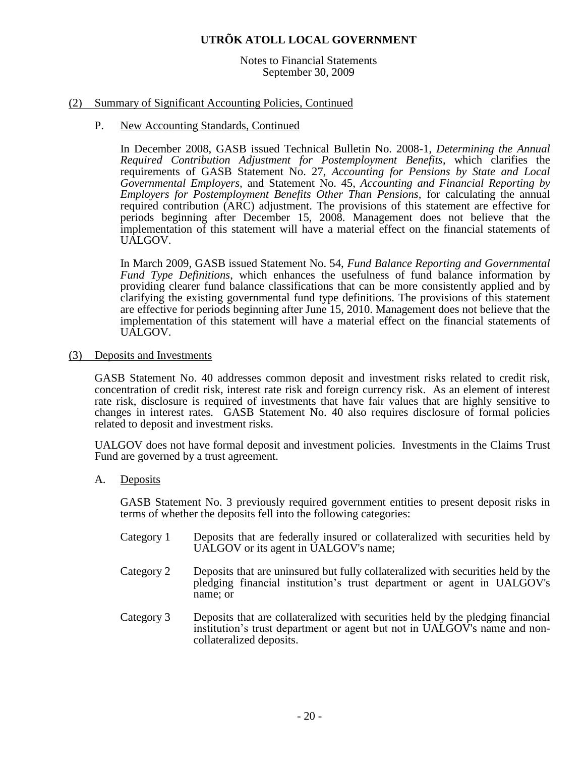#### Notes to Financial Statements September 30, 2009

#### (2) Summary of Significant Accounting Policies, Continued

#### P. New Accounting Standards, Continued

In December 2008, GASB issued Technical Bulletin No. 2008-1, *Determining the Annual Required Contribution Adjustment for Postemployment Benefits*, which clarifies the requirements of GASB Statement No. 27, *Accounting for Pensions by State and Local Governmental Employers,* and Statement No. 45, *Accounting and Financial Reporting by Employers for Postemployment Benefits Other Than Pensions, for calculating the annual* required contribution (ARC) adjustment. The provisions of this statement are effective for periods beginning after December 15, 2008. Management does not believe that the implementation of this statement will have a material effect on the financial statements of UALGOV.

In March 2009, GASB issued Statement No. 54, *Fund Balance Reporting and Governmental Fund Type Definitions*, which enhances the usefulness of fund balance information by providing clearer fund balance classifications that can be more consistently applied and by clarifying the existing governmental fund type definitions. The provisions of this statement are effective for periods beginning after June 15, 2010. Management does not believe that the implementation of this statement will have a material effect on the financial statements of UALGOV.

#### (3) Deposits and Investments

GASB Statement No. 40 addresses common deposit and investment risks related to credit risk, concentration of credit risk, interest rate risk and foreign currency risk. As an element of interest rate risk, disclosure is required of investments that have fair values that are highly sensitive to changes in interest rates. GASB Statement No. 40 also requires disclosure of formal policies related to deposit and investment risks.

UALGOV does not have formal deposit and investment policies. Investments in the Claims Trust Fund are governed by a trust agreement.

A. Deposits

GASB Statement No. 3 previously required government entities to present deposit risks in terms of whether the deposits fell into the following categories:

- Category 1 Deposits that are federally insured or collateralized with securities held by UALGOV or its agent in UALGOV's name;
- Category 2 Deposits that are uninsured but fully collateralized with securities held by the pledging financial institution's trust department or agent in UALGOV's name; or
- Category 3 Deposits that are collateralized with securities held by the pledging financial institution's trust department or agent but not in UALGOV's name and noncollateralized deposits.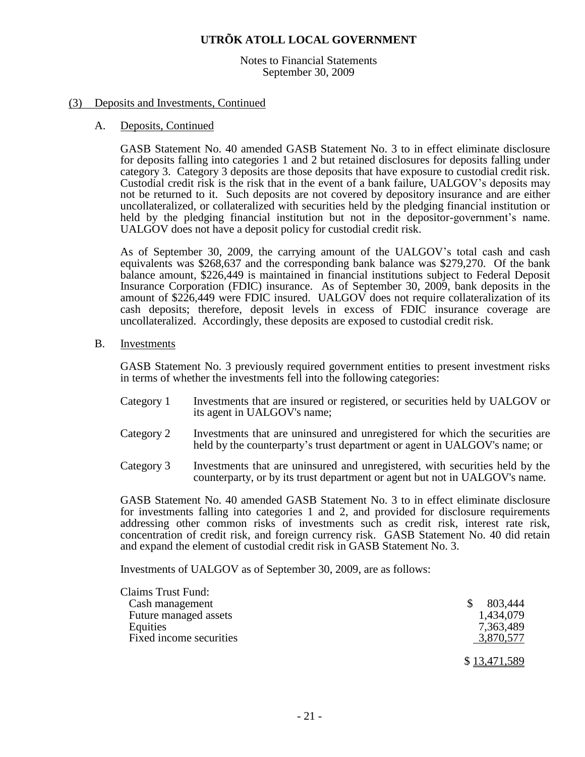Notes to Financial Statements September 30, 2009

#### (3) Deposits and Investments, Continued

#### A. Deposits, Continued

GASB Statement No. 40 amended GASB Statement No. 3 to in effect eliminate disclosure for deposits falling into categories 1 and 2 but retained disclosures for deposits falling under category 3. Category 3 deposits are those deposits that have exposure to custodial credit risk. Custodial credit risk is the risk that in the event of a bank failure, UALGOV's deposits may not be returned to it. Such deposits are not covered by depository insurance and are either uncollateralized, or collateralized with securities held by the pledging financial institution or held by the pledging financial institution but not in the depositor-government's name. UALGOV does not have a deposit policy for custodial credit risk.

As of September 30, 2009, the carrying amount of the UALGOV's total cash and cash equivalents was \$268,637 and the corresponding bank balance was \$279,270. Of the bank balance amount, \$226,449 is maintained in financial institutions subject to Federal Deposit Insurance Corporation (FDIC) insurance. As of September 30, 2009, bank deposits in the amount of \$226,449 were FDIC insured. UALGOV does not require collateralization of its cash deposits; therefore, deposit levels in excess of FDIC insurance coverage are uncollateralized. Accordingly, these deposits are exposed to custodial credit risk.

B. Investments

GASB Statement No. 3 previously required government entities to present investment risks in terms of whether the investments fell into the following categories:

- Category 1 Investments that are insured or registered, or securities held by UALGOV or its agent in UALGOV's name;
- Category 2 Investments that are uninsured and unregistered for which the securities are held by the counterparty's trust department or agent in UALGOV's name; or
- Category 3 Investments that are uninsured and unregistered, with securities held by the counterparty, or by its trust department or agent but not in UALGOV's name.

GASB Statement No. 40 amended GASB Statement No. 3 to in effect eliminate disclosure for investments falling into categories 1 and 2, and provided for disclosure requirements addressing other common risks of investments such as credit risk, interest rate risk, concentration of credit risk, and foreign currency risk. GASB Statement No. 40 did retain and expand the element of custodial credit risk in GASB Statement No. 3.

Investments of UALGOV as of September 30, 2009, are as follows:

| <b>Claims Trust Fund:</b> |              |
|---------------------------|--------------|
| Cash management           | 803,444      |
| Future managed assets     | 1,434,079    |
| Equities                  | 7,363,489    |
| Fixed income securities   | 3,870,577    |
|                           | \$13,471,589 |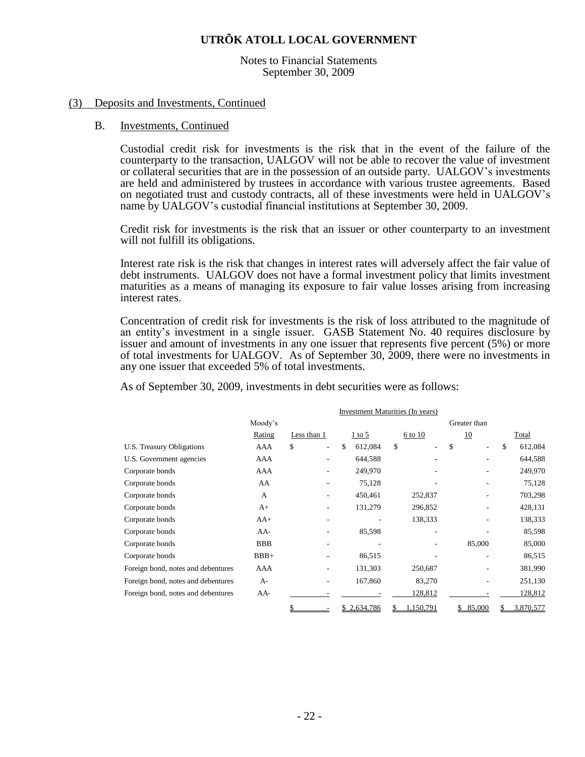Notes to Financial Statements September 30, 2009

#### (3) Deposits and Investments, Continued

#### B. Investments, Continued

Custodial credit risk for investments is the risk that in the event of the failure of the counterparty to the transaction, UALGOV will not be able to recover the value of investment or collateral securities that are in the possession of an outside party. UALGOV's investments are held and administered by trustees in accordance with various trustee agreements. Based on negotiated trust and custody contracts, all of these investments were held in UALGOV's name by UALGOV's custodial financial institutions at September 30, 2009.

Credit risk for investments is the risk that an issuer or other counterparty to an investment will not fulfill its obligations.

Interest rate risk is the risk that changes in interest rates will adversely affect the fair value of debt instruments. UALGOV does not have a formal investment policy that limits investment maturities as a means of managing its exposure to fair value losses arising from increasing interest rates.

Concentration of credit risk for investments is the risk of loss attributed to the magnitude of an entity's investment in a single issuer. GASB Statement No. 40 requires disclosure by issuer and amount of investments in any one issuer that represents five percent (5%) or more of total investments for UALGOV. As of September 30, 2009, there were no investments in any one issuer that exceeded 5% of total investments.

|                                    | Investment Maturities (In years) |                          |               |           |                                |               |  |
|------------------------------------|----------------------------------|--------------------------|---------------|-----------|--------------------------------|---------------|--|
|                                    | Moody's                          |                          |               |           | Greater than                   |               |  |
|                                    | Rating                           | Less than 1              | $1$ to 5      | 6 to 10   | 10                             | Total         |  |
| U.S. Treasury Obligations          | AAA                              | \$<br>٠                  | \$<br>612,084 | \$<br>٠   | \$<br>$\overline{\phantom{a}}$ | \$<br>612,084 |  |
| U.S. Government agencies           | AAA                              |                          | 644,588       |           |                                | 644,588       |  |
| Corporate bonds                    | AAA                              | $\overline{\phantom{0}}$ | 249,970       |           |                                | 249,970       |  |
| Corporate bonds                    | AA                               |                          | 75,128        |           |                                | 75,128        |  |
| Corporate bonds                    | A                                | ٠                        | 450,461       | 252,837   |                                | 703,298       |  |
| Corporate bonds                    | $A+$                             |                          | 131,279       | 296,852   |                                | 428,131       |  |
| Corporate bonds                    | $AA+$                            | ٠                        |               | 138,333   |                                | 138,333       |  |
| Corporate bonds                    | $AA-$                            |                          | 85,598        |           |                                | 85,598        |  |
| Corporate bonds                    | <b>BBB</b>                       | ٠                        |               |           | 85,000                         | 85,000        |  |
| Corporate bonds                    | $BBB+$                           |                          | 86,515        |           |                                | 86,515        |  |
| Foreign bond, notes and debentures | <b>AAA</b>                       | $\overline{\phantom{0}}$ | 131,303       | 250,687   |                                | 381,990       |  |
| Foreign bond, notes and debentures | $A-$                             |                          | 167,860       | 83,270    |                                | 251,130       |  |
| Foreign bond, notes and debentures | $AA-$                            |                          |               | 128,812   |                                | 128,812       |  |
|                                    |                                  | \$                       | \$2,634,786   | 1,150,791 | \$<br>85,000                   | 3,870,577     |  |

As of September 30, 2009, investments in debt securities were as follows: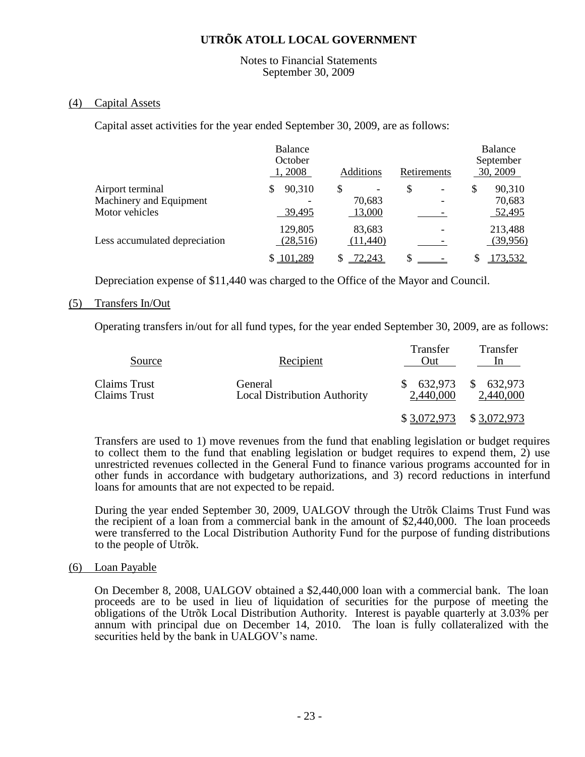#### Notes to Financial Statements September 30, 2009

#### (4) Capital Assets

Capital asset activities for the year ended September 30, 2009, are as follows:

|                                                               | Balance<br>October<br>1,2008 | Additions              | Retirements | Balance<br>September<br>30, 2009 |  |
|---------------------------------------------------------------|------------------------------|------------------------|-------------|----------------------------------|--|
| Airport terminal<br>Machinery and Equipment<br>Motor vehicles | 90,310<br>S<br>39,495        | \$<br>70,683<br>13,000 | \$          | 90,310<br>\$<br>70,683<br>52,495 |  |
| Less accumulated depreciation                                 | 129,805<br>(28,516)          | 83,683<br>(11,440)     |             | 213,488<br>(39,956)              |  |
|                                                               | 101,289<br>\$                | 72,243<br>S            | S           | 173,532                          |  |

Depreciation expense of \$11,440 was charged to the Office of the Mayor and Council.

#### (5) Transfers In/Out

Operating transfers in/out for all fund types, for the year ended September 30, 2009, are as follows:

| Source                              | Recipient                                      | Transfer<br>Out)     | Transfer<br>1n          |
|-------------------------------------|------------------------------------------------|----------------------|-------------------------|
| <b>Claims Trust</b><br>Claims Trust | General<br><b>Local Distribution Authority</b> | 632,973<br>2,440,000 | \$ 632,973<br>2,440,000 |
|                                     |                                                | \$3,072,973          | \$3,072,973             |

Transfers are used to 1) move revenues from the fund that enabling legislation or budget requires to collect them to the fund that enabling legislation or budget requires to expend them, 2) use unrestricted revenues collected in the General Fund to finance various programs accounted for in other funds in accordance with budgetary authorizations, and 3) record reductions in interfund loans for amounts that are not expected to be repaid.

During the year ended September 30, 2009, UALGOV through the Utrõk Claims Trust Fund was the recipient of a loan from a commercial bank in the amount of \$2,440,000. The loan proceeds were transferred to the Local Distribution Authority Fund for the purpose of funding distributions to the people of Utrõk.

#### (6) Loan Payable

On December 8, 2008, UALGOV obtained a \$2,440,000 loan with a commercial bank. The loan proceeds are to be used in lieu of liquidation of securities for the purpose of meeting the obligations of the Utrõk Local Distribution Authority. Interest is payable quarterly at 3.03% per annum with principal due on December 14, 2010. The loan is fully collateralized with the securities held by the bank in UALGOV's name.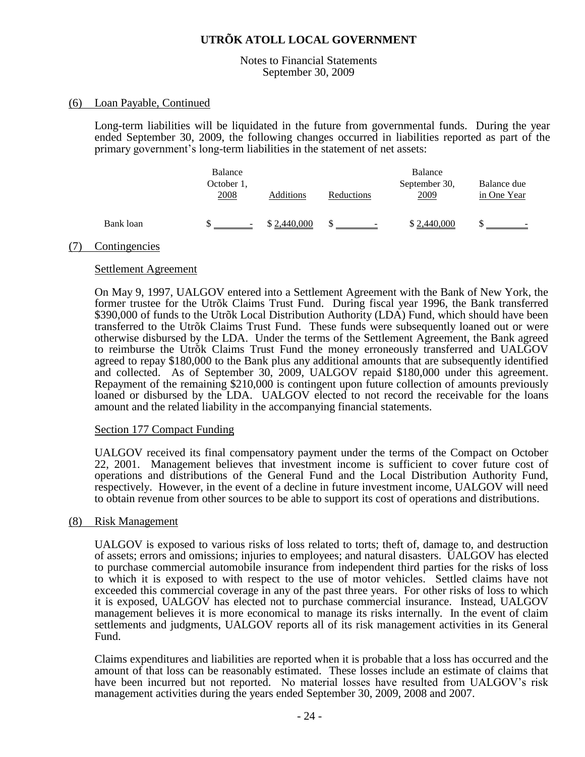#### Notes to Financial Statements September 30, 2009

#### (6) Loan Payable, Continued

Long-term liabilities will be liquidated in the future from governmental funds. During the year ended September 30, 2009, the following changes occurred in liabilities reported as part of the primary government's long-term liabilities in the statement of net assets:

|           | Balance<br>October 1,<br>2008<br>Additions |             | Reductions | Balance<br>September 30,<br>2009 | Balance due<br>in One Year |
|-----------|--------------------------------------------|-------------|------------|----------------------------------|----------------------------|
| Bank loan |                                            | \$2,440,000 | $\sim$     | \$2,440,000                      |                            |

#### (7) Contingencies

#### Settlement Agreement

On May 9, 1997, UALGOV entered into a Settlement Agreement with the Bank of New York, the former trustee for the Utrõk Claims Trust Fund. During fiscal year 1996, the Bank transferred \$390,000 of funds to the Utrõk Local Distribution Authority (LDA) Fund, which should have been transferred to the Utrõk Claims Trust Fund. These funds were subsequently loaned out or were otherwise disbursed by the LDA. Under the terms of the Settlement Agreement, the Bank agreed to reimburse the Utrõk Claims Trust Fund the money erroneously transferred and UALGOV agreed to repay \$180,000 to the Bank plus any additional amounts that are subsequently identified and collected. As of September 30, 2009, UALGOV repaid \$180,000 under this agreement. Repayment of the remaining \$210,000 is contingent upon future collection of amounts previously loaned or disbursed by the LDA. UALGOV elected to not record the receivable for the loans amount and the related liability in the accompanying financial statements.

#### Section 177 Compact Funding

UALGOV received its final compensatory payment under the terms of the Compact on October 22, 2001. Management believes that investment income is sufficient to cover future cost of operations and distributions of the General Fund and the Local Distribution Authority Fund, respectively. However, in the event of a decline in future investment income, UALGOV will need to obtain revenue from other sources to be able to support its cost of operations and distributions.

#### (8) Risk Management

UALGOV is exposed to various risks of loss related to torts; theft of, damage to, and destruction of assets; errors and omissions; injuries to employees; and natural disasters. UALGOV has elected to purchase commercial automobile insurance from independent third parties for the risks of loss to which it is exposed to with respect to the use of motor vehicles. Settled claims have not exceeded this commercial coverage in any of the past three years. For other risks of loss to which it is exposed, UALGOV has elected not to purchase commercial insurance. Instead, UALGOV management believes it is more economical to manage its risks internally. In the event of claim settlements and judgments, UALGOV reports all of its risk management activities in its General Fund.

Claims expenditures and liabilities are reported when it is probable that a loss has occurred and the amount of that loss can be reasonably estimated. These losses include an estimate of claims that have been incurred but not reported. No material losses have resulted from UALGOV's risk management activities during the years ended September 30, 2009, 2008 and 2007.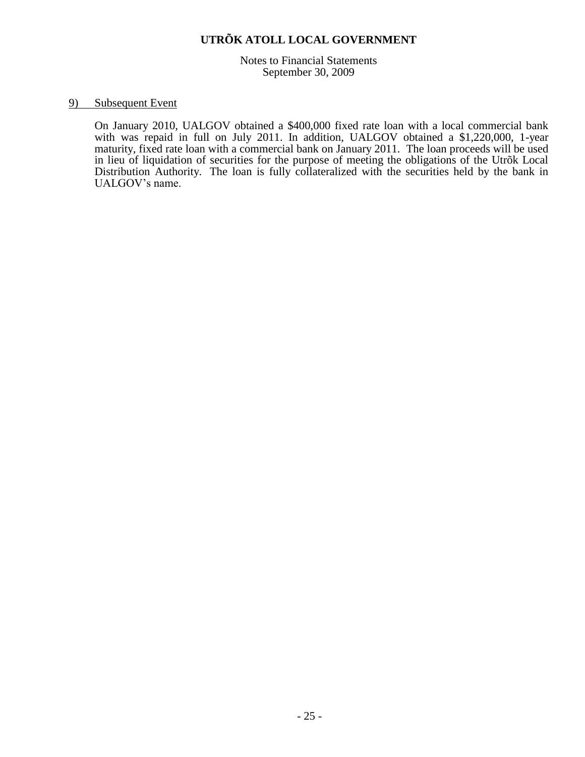Notes to Financial Statements September 30, 2009

#### 9) Subsequent Event

On January 2010, UALGOV obtained a \$400,000 fixed rate loan with a local commercial bank with was repaid in full on July 2011. In addition, UALGOV obtained a \$1,220,000, 1-year maturity, fixed rate loan with a commercial bank on January 2011. The loan proceeds will be used in lieu of liquidation of securities for the purpose of meeting the obligations of the Utrõk Local Distribution Authority. The loan is fully collateralized with the securities held by the bank in UALGOV's name.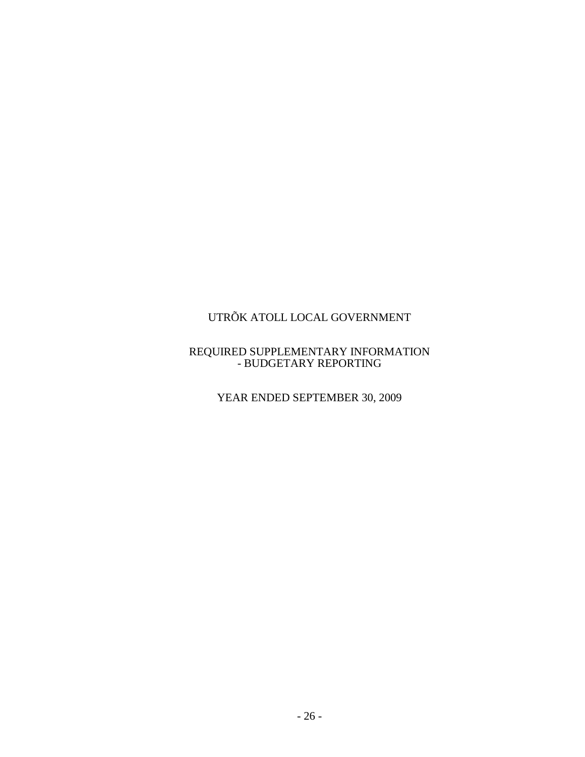### REQUIRED SUPPLEMENTARY INFORMATION - BUDGETARY REPORTING

YEAR ENDED SEPTEMBER 30, 2009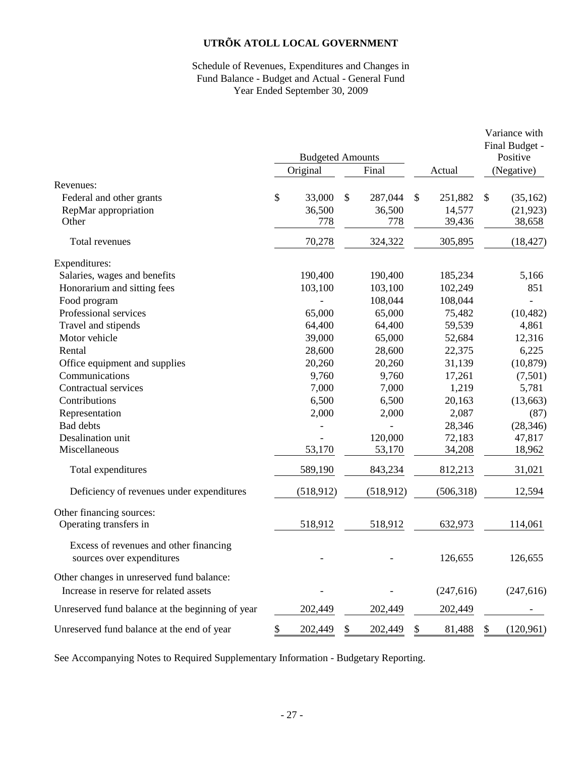# Schedule of Revenues, Expenditures and Changes in Fund Balance - Budget and Actual - General Fund Year Ended September 30, 2009

|                                                                                     | <b>Budgeted Amounts</b> |            |       |            |        |            | Variance with<br>Final Budget -<br>Positive |            |
|-------------------------------------------------------------------------------------|-------------------------|------------|-------|------------|--------|------------|---------------------------------------------|------------|
|                                                                                     | Original                |            | Final |            | Actual |            | (Negative)                                  |            |
| Revenues:                                                                           |                         |            |       |            |        |            |                                             |            |
| Federal and other grants                                                            | \$                      | 33,000     | \$    | 287,044    | \$     | 251,882    | \$                                          | (35, 162)  |
| RepMar appropriation                                                                |                         | 36,500     |       | 36,500     |        | 14,577     |                                             | (21, 923)  |
| Other                                                                               |                         | 778        |       | 778        |        | 39,436     |                                             | 38,658     |
| Total revenues                                                                      |                         | 70,278     |       | 324,322    |        | 305,895    |                                             | (18, 427)  |
| Expenditures:                                                                       |                         |            |       |            |        |            |                                             |            |
| Salaries, wages and benefits                                                        |                         | 190,400    |       | 190,400    |        | 185,234    |                                             | 5,166      |
| Honorarium and sitting fees                                                         |                         | 103,100    |       | 103,100    |        | 102,249    |                                             | 851        |
| Food program                                                                        |                         |            |       | 108,044    |        | 108,044    |                                             |            |
| Professional services                                                               |                         | 65,000     |       | 65,000     |        | 75,482     |                                             | (10, 482)  |
| Travel and stipends                                                                 |                         | 64,400     |       | 64,400     |        | 59,539     |                                             | 4,861      |
| Motor vehicle                                                                       |                         | 39,000     |       | 65,000     |        | 52,684     |                                             | 12,316     |
| Rental                                                                              |                         | 28,600     |       | 28,600     |        | 22,375     |                                             | 6,225      |
| Office equipment and supplies                                                       |                         | 20,260     |       | 20,260     |        | 31,139     |                                             | (10, 879)  |
| Communications                                                                      |                         | 9,760      |       | 9,760      |        | 17,261     |                                             | (7,501)    |
| Contractual services                                                                |                         | 7,000      |       | 7,000      |        | 1,219      |                                             | 5,781      |
| Contributions                                                                       |                         | 6,500      |       | 6,500      |        | 20,163     |                                             | (13, 663)  |
| Representation                                                                      |                         | 2,000      |       | 2,000      |        | 2,087      |                                             | (87)       |
| <b>Bad debts</b>                                                                    |                         |            |       |            |        | 28,346     |                                             | (28, 346)  |
| Desalination unit                                                                   |                         |            |       | 120,000    |        | 72,183     |                                             | 47,817     |
| Miscellaneous                                                                       |                         | 53,170     |       | 53,170     |        | 34,208     |                                             | 18,962     |
| Total expenditures                                                                  |                         | 589,190    |       | 843,234    |        | 812,213    |                                             | 31,021     |
| Deficiency of revenues under expenditures                                           |                         | (518, 912) |       | (518, 912) |        | (506,318)  |                                             | 12,594     |
| Other financing sources:<br>Operating transfers in                                  |                         | 518,912    |       | 518,912    |        | 632,973    |                                             | 114,061    |
| Excess of revenues and other financing<br>sources over expenditures                 |                         |            |       |            |        | 126,655    |                                             | 126,655    |
| Other changes in unreserved fund balance:<br>Increase in reserve for related assets |                         |            |       |            |        | (247, 616) |                                             | (247, 616) |
| Unreserved fund balance at the beginning of year                                    |                         | 202,449    |       | 202,449    |        | 202,449    |                                             |            |
| Unreserved fund balance at the end of year                                          | \$                      | 202,449    | \$    | 202,449    | \$     | 81,488     | \$                                          | (120, 961) |

See Accompanying Notes to Required Supplementary Information - Budgetary Reporting.